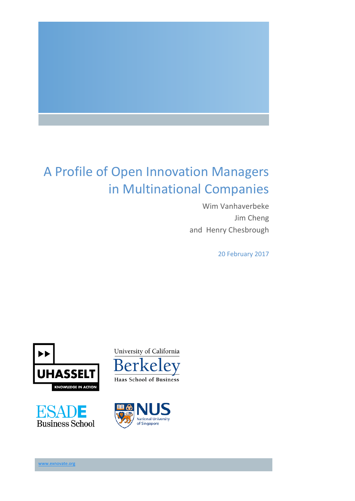

# A Profile of Open Innovation Managers in Multinational Companies

Wim Vanhaverbeke Jim Cheng and Henry Chesbrough

20 February 2017









www.exnovate.org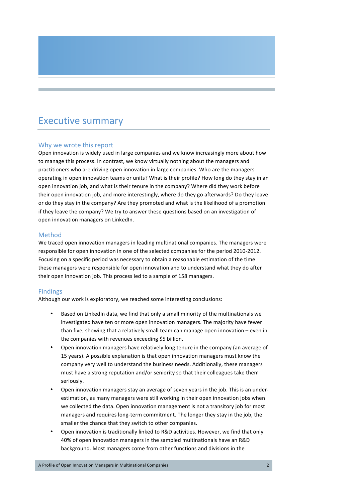## **Executive summary**

### Why we wrote this report

Open innovation is widely used in large companies and we know increasingly more about how to manage this process. In contrast, we know virtually nothing about the managers and practitioners who are driving open innovation in large companies. Who are the managers operating in open innovation teams or units? What is their profile? How long do they stay in an open innovation job, and what is their tenure in the company? Where did they work before their open innovation job, and more interestingly, where do they go afterwards? Do they leave or do they stay in the company? Are they promoted and what is the likelihood of a promotion if they leave the company? We try to answer these questions based on an investigation of open innovation managers on LinkedIn.

### Method

We traced open innovation managers in leading multinational companies. The managers were responsible for open innovation in one of the selected companies for the period 2010-2012. Focusing on a specific period was necessary to obtain a reasonable estimation of the time these managers were responsible for open innovation and to understand what they do after their open innovation job. This process led to a sample of 158 managers.

### Findings

Although our work is exploratory, we reached some interesting conclusions:

- Based on LinkedIn data, we find that only a small minority of the multinationals we investigated have ten or more open innovation managers. The majority have fewer than five, showing that a relatively small team can manage open innovation  $-$  even in the companies with revenues exceeding \$5 billion.
- Open innovation managers have relatively long tenure in the company (an average of 15 years). A possible explanation is that open innovation managers must know the company very well to understand the business needs. Additionally, these managers must have a strong reputation and/or seniority so that their colleagues take them seriously.
- Open innovation managers stay an average of seven years in the job. This is an underestimation, as many managers were still working in their open innovation jobs when we collected the data. Open innovation management is not a transitory job for most managers and requires long-term commitment. The longer they stay in the job, the smaller the chance that they switch to other companies.
- Open innovation is traditionally linked to R&D activities. However, we find that only 40% of open innovation managers in the sampled multinationals have an R&D background. Most managers come from other functions and divisions in the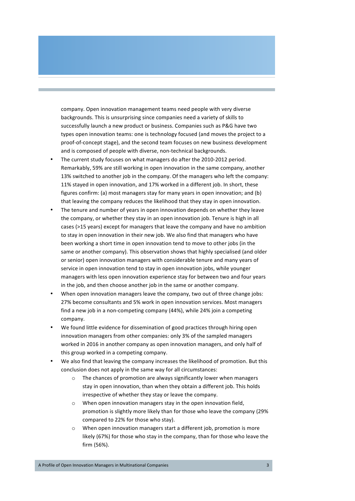company. Open innovation management teams need people with very diverse backgrounds. This is unsurprising since companies need a variety of skills to successfully launch a new product or business. Companies such as P&G have two types open innovation teams: one is technology focused (and moves the project to a proof-of-concept stage), and the second team focuses on new business development and is composed of people with diverse, non-technical backgrounds.

- The current study focuses on what managers do after the 2010-2012 period. Remarkably, 59% are still working in open innovation in the same company, another 13% switched to another job in the company. Of the managers who left the company: 11% stayed in open innovation, and 17% worked in a different job. In short, these figures confirm: (a) most managers stay for many years in open innovation; and (b) that leaving the company reduces the likelihood that they stay in open innovation.
- The tenure and number of years in open innovation depends on whether they leave the company, or whether they stay in an open innovation job. Tenure is high in all cases (>15 years) except for managers that leave the company and have no ambition to stay in open innovation in their new job. We also find that managers who have been working a short time in open innovation tend to move to other jobs (in the same or another company). This observation shows that highly specialised (and older or senior) open innovation managers with considerable tenure and many years of service in open innovation tend to stay in open innovation jobs, while younger managers with less open innovation experience stay for between two and four years in the job, and then choose another job in the same or another company.
- When open innovation managers leave the company, two out of three change jobs: 27% become consultants and 5% work in open innovation services. Most managers find a new job in a non-competing company  $(44%)$ , while 24% join a competing company.
- We found little evidence for dissemination of good practices through hiring open innovation managers from other companies: only 3% of the sampled managers worked in 2016 in another company as open innovation managers, and only half of this group worked in a competing company.
- We also find that leaving the company increases the likelihood of promotion. But this conclusion does not apply in the same way for all circumstances:
	- $\circ$  The chances of promotion are always significantly lower when managers stay in open innovation, than when they obtain a different job. This holds irrespective of whether they stay or leave the company.
	- $\circ$  When open innovation managers stay in the open innovation field, promotion is slightly more likely than for those who leave the company (29% compared to 22% for those who stay).
	- o When open innovation managers start a different job, promotion is more likely (67%) for those who stay in the company, than for those who leave the firm (56%).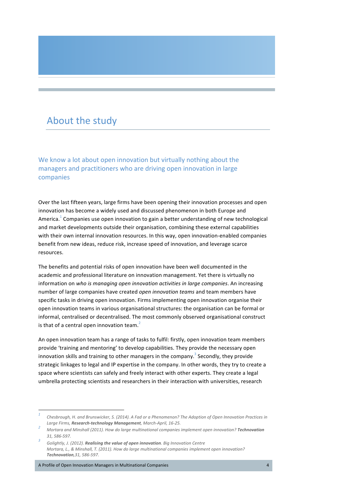### About the study

We know a lot about open innovation but virtually nothing about the managers and practitioners who are driving open innovation in large companies

Over the last fifteen years, large firms have been opening their innovation processes and open innovation has become a widely used and discussed phenomenon in both Europe and America.<sup>1</sup> Companies use open innovation to gain a better understanding of new technological and market developments outside their organisation, combining these external capabilities with their own internal innovation resources. In this way, open innovation-enabled companies benefit from new ideas, reduce risk, increase speed of innovation, and leverage scarce resources.

The benefits and potential risks of open innovation have been well documented in the academic and professional literature on innovation management. Yet there is virtually no information on *who is managing open innovation activities in large companies*. An increasing number of large companies have created *open innovation teams* and team members have specific tasks in driving open innovation. Firms implementing open innovation organise their open innovation teams in various organisational structures: the organisation can be formal or informal, centralised or decentralised. The most commonly observed organisational construct is that of a central open innovation team.<sup>2</sup>

An open innovation team has a range of tasks to fulfil: firstly, open innovation team members provide 'training and mentoring' to develop capabilities. They provide the necessary open innovation skills and training to other managers in the company.<sup>3</sup> Secondly, they provide strategic linkages to legal and IP expertise in the company. In other words, they try to create a space where scientists can safely and freely interact with other experts. They create a legal umbrella protecting scientists and researchers in their interaction with universities, research

A Profile of Open Innovation Managers in Multinational Companies 4 and 2008 1999 1999 1999 1999 1999 1999 1999

*Chesbrough, H. and Brunswicker, S. (2014). A Fad or a Phenomenon? The Adoption of Open Innovation Practices in* 

Large Firms, **Research-technology Management**, March-April, 16-25.<br>Mortara and Minshall (2011). How do large multinational companies implement open innovation? **Technovation** 

*<sup>31, 586-597.</sup>*<br>Golightly, J. (2012). **Realising the value of open innovation**. Big Innovation Centre *Mortara, L., & Minshall, T. (2011). How do large multinational companies implement open innovation? Technovation,31, 586-597.*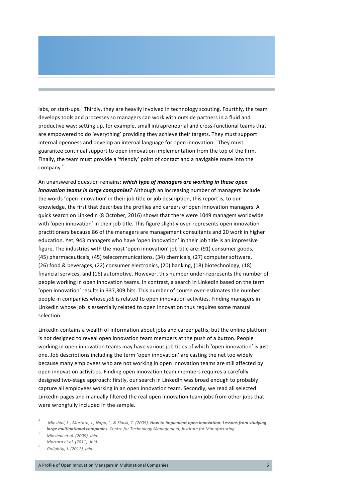labs, or start-ups.<sup>4</sup> Thirdly, they are heavily involved in technology scouting. Fourthly, the team develops tools and processes so managers can work with outside partners in a fluid and productive way: setting up, for example, small intrapreneurial and cross-functional teams that are empowered to do 'everything' providing they achieve their targets. They must support internal openness and develop an internal language for open innovation.<sup>5</sup> They must guarantee continual support to open innovation implementation from the top of the firm. Finally, the team must provide a 'friendly' point of contact and a navigable route into the company. 6

An unanswered question remains: **which type of managers are working in these open** *innovation teams in large companies?* Although an increasing number of managers include the words 'open innovation' in their job title or job description, this report is, to our knowledge, the first that describes the profiles and careers of open innovation managers. A quick search on LinkedIn (8 October, 2016) shows that there were 1049 managers worldwide with 'open innovation' in their job title. This figure slightly over-represents open innovation practitioners because 86 of the managers are management consultants and 20 work in higher education. Yet, 943 managers who have 'open innovation' in their job title is an impressive figure. The industries with the most 'open innovation' job title are: (91) consumer goods, (45) pharmaceuticals, (45) telecommunications, (34) chemicals, (27) computer software, (26) food & beverages, (22) consumer electronics, (20) banking, (18) biotechnology, (18) financial services, and (16) automotive. However, this number under-represents the number of people working in open innovation teams. In contrast, a search in LinkedIn based on the term 'open innovation' results in 337.309 hits. This number of course over-estimates the number people in companies whose *job* is related to open innovation activities. Finding managers in LinkedIn whose job is essentially related to open innovation thus requires some manual selection.

LinkedIn contains a wealth of information about jobs and career paths, but the online platform is not designed to reveal open innovation team members at the push of a button. People working in open innovation teams may have various job titles of which 'open innovation' is just one. Job descriptions including the term 'open innovation' are casting the net too widely because many employees who are not working in open innovation teams are still affected by open innovation activities. Finding open innovation team members requires a carefully designed two-stage approach: firstly, our search in LinkedIn was broad enough to probably capture all employees working in an open innovation team. Secondly, we read all selected LinkedIn pages and manually filtered the real open innovation team jobs from other jobs that were wrongfully included in the sample.

*.* 

*Minshall, L., Mortara, J., Napp, I., & Slacik, T. (2009). How to implement open innovation: Lessons from studying* **large multinational companies**. Centre for Technology Management, Institute for Manufacturing.<br>Minshall et al. (2009). Ibid.

*Mortara et al. (2011). Ibid. <sup>6</sup> Golightly, J. (2012). Ibid.*

A Profile of Open Innovation Managers in Multinational Companies 6 and 200 and 200 and 200 and 200 and 200 and 200 and 200 and 200 and 200 and 200 and 200 and 200 and 200 and 200 and 200 and 200 and 200 and 200 and 200 and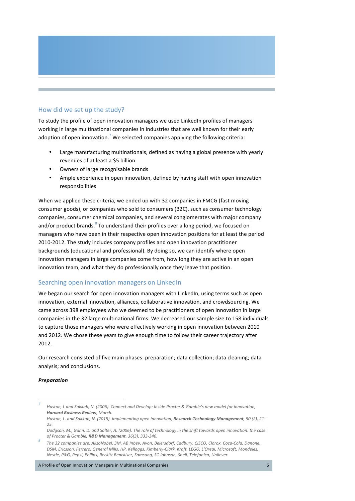### How did we set up the study?

To study the profile of open innovation managers we used LinkedIn profiles of managers working in large multinational companies in industries that are well known for their early adoption of open innovation.<sup>7</sup> We selected companies applying the following criteria:

- Large manufacturing multinationals, defined as having a global presence with yearly revenues of at least a \$5 billion.
- Owners of large recognisable brands
- Ample experience in open innovation, defined by having staff with open innovation responsibilities

When we applied these criteria, we ended up with 32 companies in FMCG (fast moving consumer goods), or companies who sold to consumers (B2C), such as consumer technology companies, consumer chemical companies, and several conglomerates with major company and/or product brands. $8\degree$  To understand their profiles over a long period, we focused on managers who have been in their respective open innovation positions for at least the period 2010-2012. The study includes company profiles and open innovation practitioner backgrounds (educational and professional). By doing so, we can identify where open innovation managers in large companies come from, how long they are active in an open innovation team, and what they do professionally once they leave that position.

### Searching open innovation managers on LinkedIn

We began our search for open innovation managers with LinkedIn, using terms such as open innovation, external innovation, alliances, collaborative innovation, and crowdsourcing. We came across 398 employees who we deemed to be practitioners of open innovation in large companies in the 32 large multinational firms. We decreased our sample size to 158 individuals to capture those managers who were effectively working in open innovation between 2010 and 2012. We chose these years to give enough time to follow their career trajectory after 2012. 

Our research consisted of five main phases: preparation; data collection; data cleaning; data analysis; and conclusions.

#### *Preparation*

A Profile of Open Innovation Managers in Multinational Companies 6 and 100 minutes of 6 and 100 minutes 6 and 100 minutes 6 and 100 minutes of 6 and 100 minutes 6 and 100 minutes of 6 and 100 minutes of 6 and 100 minutes o

*Huston, L* and Sakkab, N. (2006). Connect and Develop: Inside Procter & Gamble's new model for innovation, *Harvard Business Review, March.*

*Huston, L. and Sakkab, N. (2015).* Implementing open innovation, Research-Technology Management, 50 (2), 21-*25.*

*Dodgson, M., Gann, D. and Salter, A. (2006). The role of technology in the shift towards open innovation: the case of Procter & Gamble, R&D Management, 36(3), 333-346. 823-746. 823-766. <i>823 Companies are: AkzoNobel, 3M, AB* Inbev, *Avon, Beiersdorf, Cadbury, CISCO, Clorox, Coca-Cola, Danone,* 

DSM, Ericsson, Ferrero, General Mills, HP, Kelloggs, Kimberly-Clark, Kraft, LEGO, L'Oreal, Microsoft, Mondelez, *Nestle, P&G, Pepsi, Philips, Reckitt Benckiser, Samsung, SC Johnson, Shell, Telefonica, Unilever.*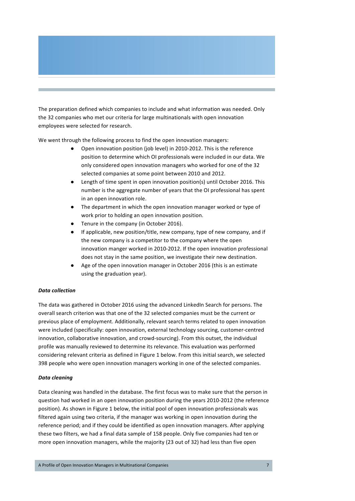The preparation defined which companies to include and what information was needed. Only the 32 companies who met our criteria for large multinationals with open innovation employees were selected for research.

We went through the following process to find the open innovation managers:

- Open innovation position (job level) in 2010-2012. This is the reference position to determine which OI professionals were included in our data. We only considered open innovation managers who worked for one of the 32 selected companies at some point between 2010 and 2012.
- Length of time spent in open innovation position(s) until October 2016. This number is the aggregate number of years that the OI professional has spent in an open innovation role.
- The department in which the open innovation manager worked or type of work prior to holding an open innovation position.
- Tenure in the company (in October 2016).
- If applicable, new position/title, new company, type of new company, and if the new company is a competitor to the company where the open innovation manger worked in 2010-2012. If the open innovation professional does not stay in the same position, we investigate their new destination.
- Age of the open innovation manager in October 2016 (this is an estimate using the graduation year).

#### *Data collection*

The data was gathered in October 2016 using the advanced LinkedIn Search for persons. The overall search criterion was that one of the 32 selected companies must be the current or previous place of employment. Additionally, relevant search terms related to open innovation were included (specifically: open innovation, external technology sourcing, customer-centred innovation, collaborative innovation, and crowd-sourcing). From this outset, the individual profile was manually reviewed to determine its relevance. This evaluation was performed considering relevant criteria as defined in Figure 1 below. From this initial search, we selected 398 people who were open innovation managers working in one of the selected companies.

#### *Data cleaning*

Data cleaning was handled in the database. The first focus was to make sure that the person in question had worked in an open innovation position during the years 2010-2012 (the reference position). As shown in Figure 1 below, the initial pool of open innovation professionals was filtered again using two criteria, if the manager was working in open innovation during the reference period; and if they could be identified as open innovation managers. After applying these two filters, we had a final data sample of 158 people. Only five companies had ten or more open innovation managers, while the majority (23 out of 32) had less than five open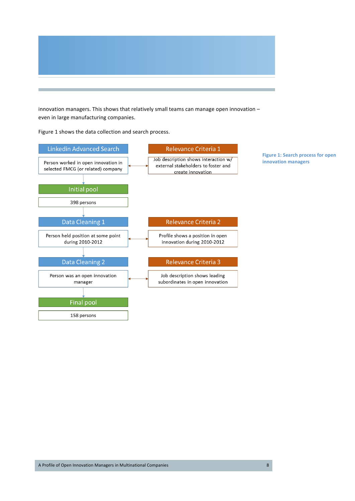

innovation managers. This shows that relatively small teams can manage open innovation even in large manufacturing companies.

Figure 1 shows the data collection and search process.



**Figure 1: Search process for open** 

**innovation managers**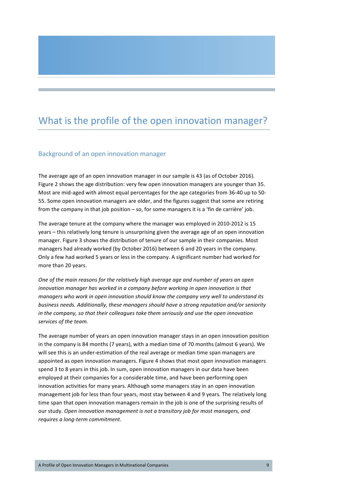# What is the profile of the open innovation manager?

### Background of an open innovation manager

The average age of an open innovation manager in our sample is 43 (as of October 2016). Figure 2 shows the age distribution: very few open innovation managers are younger than 35. Most are mid-aged with almost equal percentages for the age categories from 36-40 up to 50-55. Some open innovation managers are older, and the figures suggest that some are retiring from the company in that job position – so, for some managers it is a 'fin de carrière' job.

The average tenure at the company where the manager was employed in 2010-2012 is 15 years – this relatively long tenure is unsurprising given the average age of an open innovation manager. Figure 3 shows the distribution of tenure of our sample in their companies. Most managers had already worked (by October 2016) between 6 and 20 years in the company. Only a few had worked 5 years or less in the company. A significant number had worked for more than 20 years.

One of the main reasons for the relatively high average age and number of years an open *innovation manager has worked in a company before working in open innovation is that managers* who work in open innovation should know the company very well to understand its *business needs. Additionally, these managers should have a strong reputation and/or seniority in* the company, so that their colleagues take them seriously and use the open innovation services of the team.

The average number of vears an open innovation manager stays in an open innovation position in the company is 84 months (7 years), with a median time of 70 months (almost 6 years). We will see this is an under-estimation of the real average or median time span managers are appointed as open innovation managers. Figure 4 shows that most open innovation managers spend 3 to 8 years in this job. In sum, open innovation managers in our data have been employed at their companies for a considerable time, and have been performing open innovation activities for many years. Although some managers stay in an open innovation management job for less than four years, most stay between 4 and 9 years. The relatively long time span that open innovation managers remain in the job is one of the surprising results of our study. Open innovation management is not a transitory job for most managers, and *requires a long-term commitment*.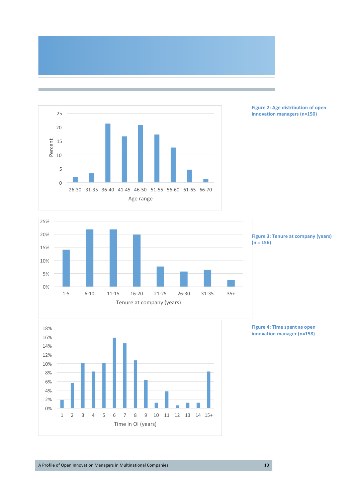



**Figure 2: Age distribution of open innovation managers (n=150)**



**Figure 3: Tenure at company (years)**  $(n = 156)$ 



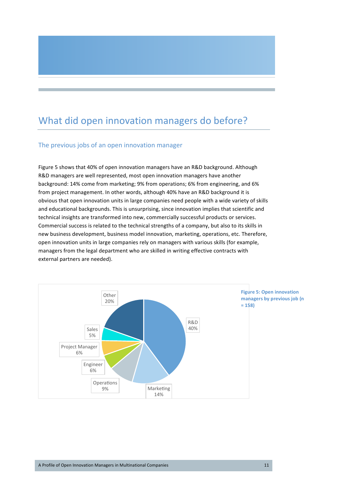# What did open innovation managers do before?

### The previous jobs of an open innovation manager

Figure 5 shows that 40% of open innovation managers have an R&D background. Although R&D managers are well represented, most open innovation managers have another background: 14% come from marketing; 9% from operations; 6% from engineering, and 6% from project management. In other words, although 40% have an R&D background it is obvious that open innovation units in large companies need people with a wide variety of skills and educational backgrounds. This is unsurprising, since innovation implies that scientific and technical insights are transformed into new, commercially successful products or services. Commercial success is related to the technical strengths of a company, but also to its skills in new business development, business model innovation, marketing, operations, etc. Therefore, open innovation units in large companies rely on managers with various skills (for example, managers from the legal department who are skilled in writing effective contracts with external partners are needed).

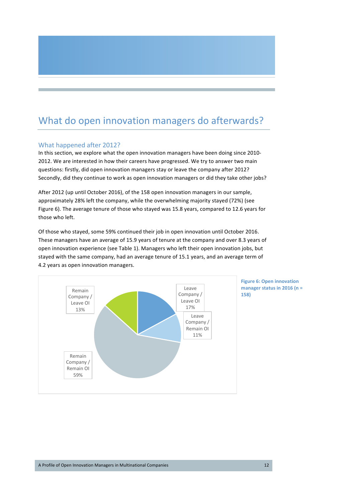# What do open innovation managers do afterwards?

### What happened after 2012?

In this section, we explore what the open innovation managers have been doing since 2010-2012. We are interested in how their careers have progressed. We try to answer two main questions: firstly, did open innovation managers stay or leave the company after 2012? Secondly, did they continue to work as open innovation managers or did they take other jobs?

After 2012 (up until October 2016), of the 158 open innovation managers in our sample, approximately 28% left the company, while the overwhelming majority stayed (72%) (see Figure 6). The average tenure of those who stayed was 15.8 years, compared to 12.6 years for those who left.

Of those who stayed, some 59% continued their job in open innovation until October 2016. These managers have an average of 15.9 years of tenure at the company and over 8.3 years of open innovation experience (see Table 1). Managers who left their open innovation jobs, but stayed with the same company, had an average tenure of 15.1 years, and an average term of 4.2 years as open innovation managers.



**Figure 6: Open innovation** manager status in 2016 (n = **158)**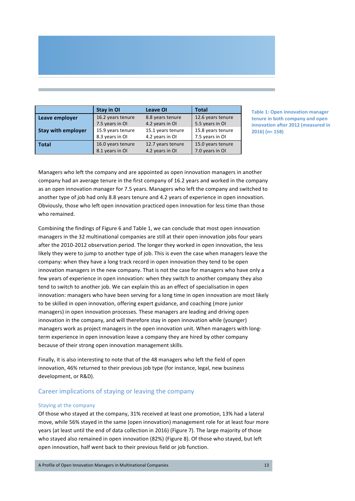| Stay in OI                           | <b>Leave OI</b>                     | <b>Total</b>                                                |
|--------------------------------------|-------------------------------------|-------------------------------------------------------------|
| 16.2 years tenure<br>7.5 years in OI | 8.8 years tenure<br>4.2 years in OI | 12.6 years tenure<br>5.5 years in OI                        |
| 8.3 years in OI                      | 4.2 years in OI                     | 15.8 years tenure<br>7.5 years in OI<br>15.0 years tenure   |
|                                      | 15.9 years tenure                   | 15.1 years tenure<br>16.0 years tenure<br>12.7 years tenure |

**Table 1: Open innovation manager the 11 source** in both company and open **inovation after 2012 (measured in 2016) (n= 158)**

Managers who left the company and are appointed as open innovation managers in another company had an average tenure in the first company of 16.2 years and worked in the company as an open innovation manager for 7.5 years. Managers who left the company and switched to another type of job had only 8.8 years tenure and 4.2 years of experience in open innovation. Obviously, those who left open innovation practiced open innovation for less time than those who remained.

Combining the findings of Figure 6 and Table 1, we can conclude that most open innovation managers in the 32 multinational companies are still at their open innovation jobs four years after the 2010-2012 observation period. The longer they worked in open innovation, the less likely they were to jump to another type of job. This is even the case when managers leave the company: when they have a long track record in open innovation they tend to be open innovation managers in the new company. That is not the case for managers who have only a few years of experience in open innovation: when they switch to another company they also tend to switch to another job. We can explain this as an effect of specialisation in open innovation: managers who have been serving for a long time in open innovation are most likely to be skilled in open innovation, offering expert guidance, and coaching (more junior managers) in open innovation processes. These managers are leading and driving open innovation in the company, and will therefore stay in open innovation while (younger) managers work as project managers in the open innovation unit. When managers with longterm experience in open innovation leave a company they are hired by other company because of their strong open innovation management skills.

Finally, it is also interesting to note that of the 48 managers who left the field of open innovation, 46% returned to their previous job type (for instance, legal, new business development, or R&D).

### Career implications of staying or leaving the company

#### Staying at the company

Of those who stayed at the company, 31% received at least one promotion, 13% had a lateral move, while 56% stayed in the same (open innovation) management role for at least four more years (at least until the end of data collection in 2016) (Figure 7). The large majority of those who stayed also remained in open innovation (82%) (Figure 8). Of those who stayed, but left open innovation, half went back to their previous field or job function.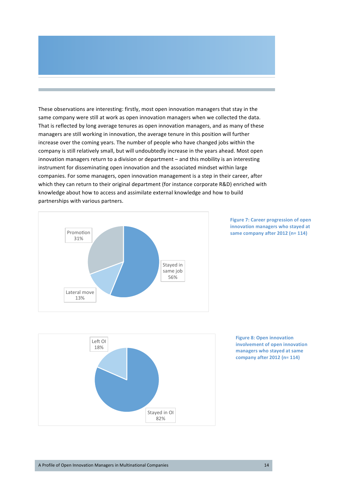These observations are interesting: firstly, most open innovation managers that stay in the same company were still at work as open innovation managers when we collected the data. That is reflected by long average tenures as open innovation managers, and as many of these managers are still working in innovation, the average tenure in this position will further increase over the coming years. The number of people who have changed jobs within the company is still relatively small, but will undoubtedly increase in the years ahead. Most open innovation managers return to a division or department - and this mobility is an interesting instrument for disseminating open innovation and the associated mindset within large companies. For some managers, open innovation management is a step in their career, after which they can return to their original department (for instance corporate R&D) enriched with knowledge about how to access and assimilate external knowledge and how to build partnerships with various partners.







**Figure 8: Open innovation involvement of open innovation managers who stayed at same company after 2012 (n= 114)**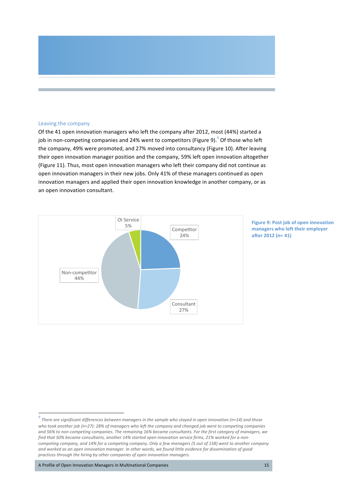#### Leaving the company

Of the 41 open innovation managers who left the company after 2012, most (44%) started a job in non-competing companies and 24% went to competitors (Figure 9). $^9$  Of those who left the company, 49% were promoted, and 27% moved into consultancy (Figure 10). After leaving their open innovation manager position and the company, 59% left open innovation altogether (Figure 11). Thus, most open innovation managers who left their company did not continue as open innovation managers in their new jobs. Only 41% of these managers continued as open innovation managers and applied their open innovation knowledge in another company, or as an open innovation consultant.



**Figure 9: Post job of open innovation managers who left their employer after 2012 (n= 41)**

A Profile of Open Innovation Managers in Multinational Companies 15

*<sup>7</sup>here are significant differences between managers in the sample who stayed in open innovation (n=14)* and those *who* took another job (n=27): 28% of managers who left the company and changed job went to competing companies and 56% to non-competing companies. The remaining 16% became consultants. For the first category of managers, we find that 50% became consultants, another 14% started open innovation service firms, 21% worked for a non*competing company, and 14% for a competing company. Only a few managers (5 out of 158) went to another company* and worked as an open innovation manager. In other words, we found little evidence for dissemination of good *practices through the hiring by other companies of open innovation managers.*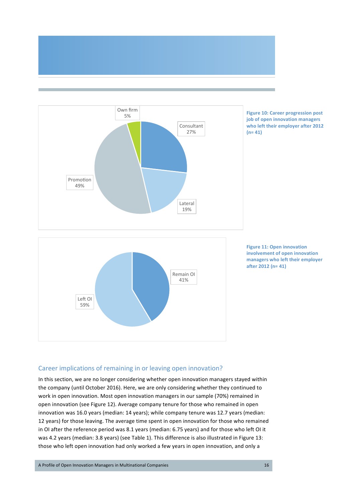



### Career implications of remaining in or leaving open innovation?

In this section, we are no longer considering whether open innovation managers stayed within the company (until October 2016). Here, we are only considering whether they continued to work in open innovation. Most open innovation managers in our sample (70%) remained in open innovation (see Figure 12). Average company tenure for those who remained in open innovation was 16.0 years (median: 14 years); while company tenure was 12.7 years (median: 12 years) for those leaving. The average time spent in open innovation for those who remained in OI after the reference period was 8.1 years (median: 6.75 years) and for those who left OI it was 4.2 years (median: 3.8 years) (see Table 1). This difference is also illustrated in Figure 13: those who left open innovation had only worked a few years in open innovation, and only a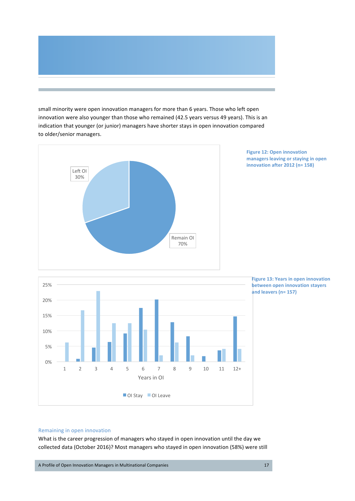small minority were open innovation managers for more than 6 years. Those who left open innovation were also younger than those who remained (42.5 years versus 49 years). This is an indication that younger (or junior) managers have shorter stays in open innovation compared to older/senior managers.



**Figure 12: Open innovation managers leaving or staying in open innovation after 2012 (n= 158)**

**Figure 13: Years in open innovation between open innovation stayers and leavers (n= 157)**



Remaining in open innovation

What is the career progression of managers who stayed in open innovation until the day we collected data (October 2016)? Most managers who stayed in open innovation (58%) were still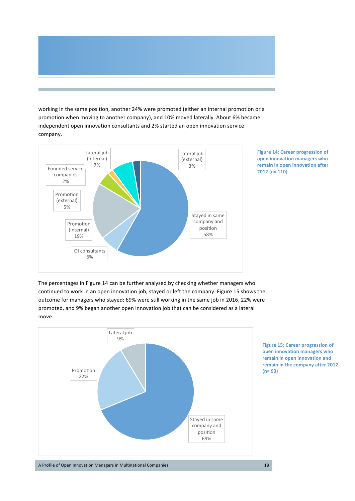working in the same position, another 24% were promoted (either an internal promotion or a promotion when moving to another company), and 10% moved laterally. About 6% became independent open innovation consultants and 2% started an open innovation service company.



**Figure 14: Career progression of open innovation managers who remain in open innovation after 2012** (n= 110)

The percentages in Figure 14 can be further analysed by checking whether managers who continued to work in an open innovation job, stayed or left the company. Figure 15 shows the outcome for managers who stayed: 69% were still working in the same job in 2016, 22% were promoted, and 9% began another open innovation job that can be considered as a lateral move.



**Figure 15: Career progression of open innovation managers who** remain in open innovation and **remain in the company after 2012 (n= 93)**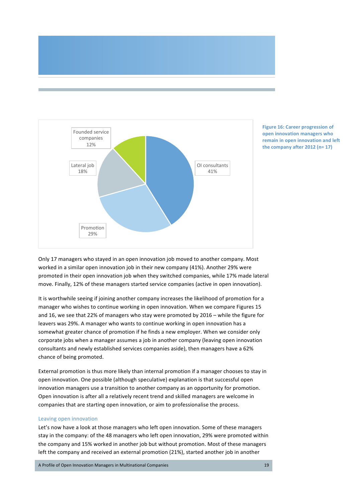



**Figure 16: Career progression of open innovation managers who remain in open innovation and left** the company after  $2012$  (n=  $17$ )

Only 17 managers who stayed in an open innovation job moved to another company. Most worked in a similar open innovation job in their new company (41%). Another 29% were promoted in their open innovation job when they switched companies, while 17% made lateral move. Finally, 12% of these managers started service companies (active in open innovation).

It is worthwhile seeing if joining another company increases the likelihood of promotion for a manager who wishes to continue working in open innovation. When we compare Figures 15 and 16, we see that 22% of managers who stay were promoted by 2016 – while the figure for leavers was 29%. A manager who wants to continue working in open innovation has a somewhat greater chance of promotion if he finds a new employer. When we consider only corporate jobs when a manager assumes a job in another company (leaving open innovation consultants and newly established services companies aside), then managers have a 62% chance of being promoted.

External promotion is thus more likely than internal promotion if a manager chooses to stay in open innovation. One possible (although speculative) explanation is that successful open innovation managers use a transition to another company as an opportunity for promotion. Open innovation is after all a relatively recent trend and skilled managers are welcome in companies that are starting open innovation, or aim to professionalise the process.

#### Leaving open innovation

Let's now have a look at those managers who left open innovation. Some of these managers stay in the company: of the 48 managers who left open innovation, 29% were promoted within the company and 15% worked in another job but without promotion. Most of these managers left the company and received an external promotion (21%), started another job in another

A Profile of Open Innovation Managers in Multinational Companies 19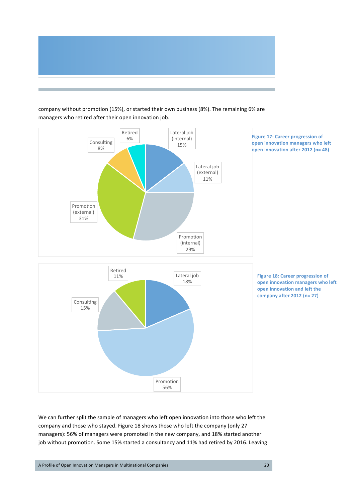

### Lateral job (internal) 15% Lateral job (external) 11% Promotion (internal) 29% Promotion (external) 31% Consulting 8% Retired 6% Lateral job 18% Promotion 56% Consulting 15% Retired 11% **Figure 17: Career progression of open innovation managers who left open innovation after 2012 (n= 48) Figure 18: Career progression of open innovation managers who left open innovation and left the company after 2012 (n= 27)**

company without promotion (15%), or started their own business (8%). The remaining 6% are managers who retired after their open innovation job.

We can further split the sample of managers who left open innovation into those who left the company and those who stayed. Figure 18 shows those who left the company (only 27 managers): 56% of managers were promoted in the new company, and 18% started another job without promotion. Some 15% started a consultancy and 11% had retired by 2016. Leaving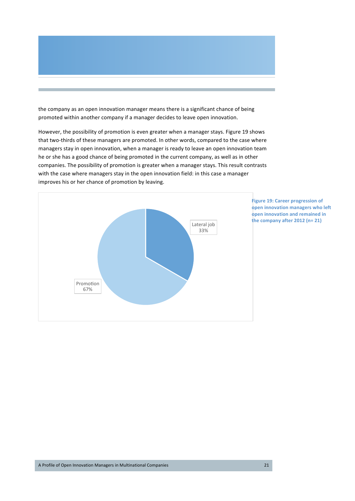the company as an open innovation manager means there is a significant chance of being promoted within another company if a manager decides to leave open innovation.

However, the possibility of promotion is even greater when a manager stays. Figure 19 shows that two-thirds of these managers are promoted. In other words, compared to the case where managers stay in open innovation, when a manager is ready to leave an open innovation team he or she has a good chance of being promoted in the current company, as well as in other companies. The possibility of promotion is greater when a manager stays. This result contrasts with the case where managers stay in the open innovation field: in this case a manager improves his or her chance of promotion by leaving.



**Figure 19: Career progression of open innovation managers who left open innovation and remained in** the company after 2012 (n= 21)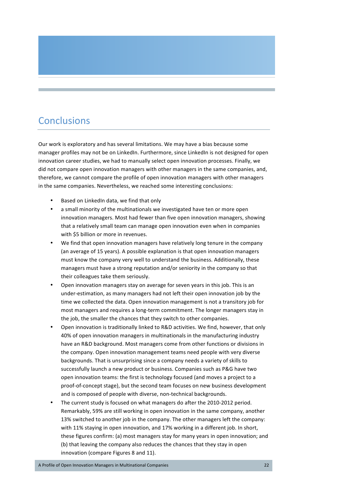## **Conclusions**

Our work is exploratory and has several limitations. We may have a bias because some manager profiles may not be on LinkedIn. Furthermore, since LinkedIn is not designed for open innovation career studies, we had to manually select open innovation processes. Finally, we did not compare open innovation managers with other managers in the same companies, and, therefore, we cannot compare the profile of open innovation managers with other managers in the same companies. Nevertheless, we reached some interesting conclusions:

- Based on LinkedIn data, we find that only
- a small minority of the multinationals we investigated have ten or more open innovation managers. Most had fewer than five open innovation managers, showing that a relatively small team can manage open innovation even when in companies with \$5 billion or more in revenues.
- We find that open innovation managers have relatively long tenure in the company (an average of 15 years). A possible explanation is that open innovation managers must know the company very well to understand the business. Additionally, these managers must have a strong reputation and/or seniority in the company so that their colleagues take them seriously.
- Open innovation managers stay on average for seven years in this job. This is an under-estimation, as many managers had not left their open innovation job by the time we collected the data. Open innovation management is not a transitory job for most managers and requires a long-term commitment. The longer managers stay in the job, the smaller the chances that they switch to other companies.
- Open innovation is traditionally linked to R&D activities. We find, however, that only 40% of open innovation managers in multinationals in the manufacturing industry have an R&D background. Most managers come from other functions or divisions in the company. Open innovation management teams need people with very diverse backgrounds. That is unsurprising since a company needs a variety of skills to successfully launch a new product or business. Companies such as P&G have two open innovation teams: the first is technology focused (and moves a project to a proof-of-concept stage), but the second team focuses on new business development and is composed of people with diverse, non-technical backgrounds.
- The current study is focused on what managers do after the 2010-2012 period. Remarkably, 59% are still working in open innovation in the same company, another 13% switched to another job in the company. The other managers left the company: with 11% staying in open innovation, and 17% working in a different job. In short, these figures confirm: (a) most managers stay for many years in open innovation; and (b) that leaving the company also reduces the chances that they stay in open innovation (compare Figures 8 and 11).